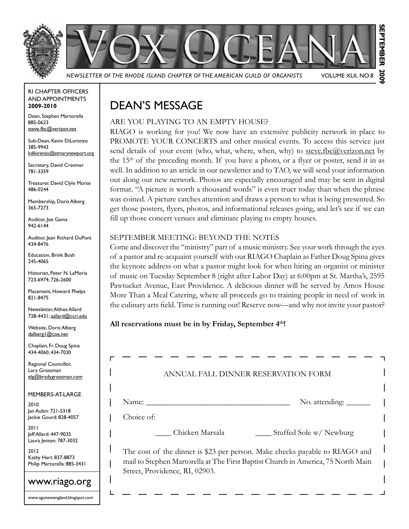

**September 2009 SEPTEMBER** 2002 *Newsletter of the Rhode Island Chapter of the American Guild of Organists* Volume XLII, No.8

RI Chapter Officers and Appointments **2009-2010**

Dean, Stephen Martorella 885-0623 steve.fbc@verizon.net

Sub-Dean, Kevin DiLorenzo 385-9943 kdilorenzo@stmarynewport.org

Secretary, David Cranmer 781-3359

Treasurer, David Clyle Morse 486-0244

Membership, Doris Alberg 365-7273

Auditor, loe Gama 942-6144

Auditor, Jean Richard DuPont 434-8476

Education, Brink Bush 245-4065

Historian, Peter N. LaMoria 723-6974; 726-2600

Placement, Howard Phelps 821-8475

Newsletter, Althea Allard 728-4431; aallard@ccri.edu

Website, Doris Alberg dalberg1@cox.net

Chaplain, Fr. Doug Spina 434-4060; 434-7030

Regional Councillor, Lary Grossman elg@bradygrossman.com

Members-at-Large

2010 Jan Aubin: 721-5318 Jackie Gourd: 828-4057

2011 Jeff Allard: 447-9035 Laura Jensen: 787-3032

2012 Kathy Hart: 837-8873 Philip Martorella: 885-3431

### www.riago.org

www.agonewengland.blogspot.com

## Dean's Message

### ARE YOU PLAYING TO AN EMPTY HOUSE?

RIAGO is working for you! We now have an extensive publicity network in place to PROMOTE YOUR CONCERTS and other musical events. To access this service just send details of your event (who, what, where, when, why) to steve.fbc@verizon.net by the  $15<sup>th</sup>$  of the preceding month. If you have a photo, or a flyer or poster, send it in as well. In addition to an article in our newsletter and to TAO, we will send your information out along our new network. Photos are especially encouraged and may be sent in digital format. "A picture is worth a thousand words" is even truer today than when the phrase was coined. A picture catches attention and draws a person to what is being presented. So get those posters, flyers, photos, and informational releases going, and let's see if we can fill up those concert venues and eliminate playing to empty houses.

#### September Meeting: Beyond the notes

Come and discover the "ministry" part of a music ministry. See your work through the eyes of a pastor and re-acquaint yourself with our RIAGO Chaplain as Father Doug Spina gives the keynote address on what a pastor might look for when hiring an organist or minister of music on Tuesday September 8 (right after Labor Day) at 6:00pm at St. Martha's, 2595 Pawtucket Avenue, East Providence. A delicious dinner will be served by Amos House More Than a Meal Catering, where all proceeds go to training people in need of work in the culinary arts field. Time is running out! Reserve now—and why not invite your pastor?

#### All reservations must be in by Friday, September 4<sup>th</sup>!

| J. FALL DINNER RESERVATION FORM<br>ANN                                                                             |
|--------------------------------------------------------------------------------------------------------------------|
|                                                                                                                    |
| No. attending: $\overline{\phantom{a}}$<br>Name:                                                                   |
| Choice of:                                                                                                         |
| Stuffed Sole w/ Newburg<br>Chicken Marsala                                                                         |
| The cost of the dinner is \$23 per person. Make checks payable to RIAGO and                                        |
| mail to Stephen Martorella at The First Baptist Church in America, 75 North Main<br>Street, Providence, RI, 02903. |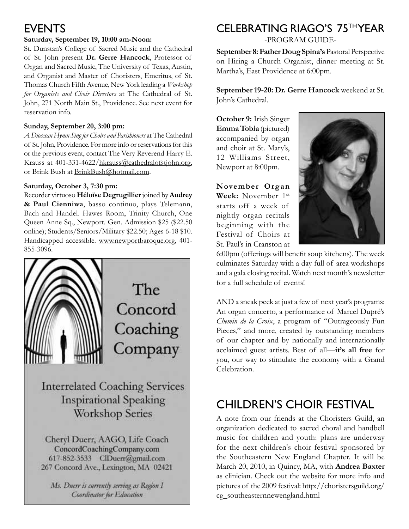### **EVENTS**

#### **Saturday, September 19, 10:00 am-Noon:**

St. Dunstan's College of Sacred Music and the Cathedral of St. John present **Dr. Gerre Hancock**, Professor of Organ and Sacred Music, The University of Texas, Austin, and Organist and Master of Choristers, Emeritus, of St. Thomas Church Fifth Avenue, New York leading a *Workshop for Organists and Choir Directors* at The Cathedral of St. John, 271 North Main St., Providence. See next event for reservation info.

#### **Sunday, September 20, 3:00 pm:**

*A Diocesan Hymn Sing for Choirs and Parishioners* at The Cathedral of St. John, Providence. For more info or reservations for this or the previous event, contact The Very Reverend Harry E. Krauss at 401-331-4622/hkrauss@cathedralofstjohn.org, or Brink Bush at BrinkBush@hotmail.com.

#### **Saturday, October 3, 7:30 pm:**

Recorder virtuoso **Héloïse Degrugillier** joined by **Audrey & Paul Cienniwa**, basso continuo, plays Telemann, Bach and Handel. Hawes Room, Trinity Church, One Queen Anne Sq., Newport. Gen. Admission \$25 (\$22.50 online); Students/Seniors/Military \$22.50; Ages 6-18 \$10. Handicapped accessible. www.newportbaroque.org, 401- 855-3096.



**Interrelated Coaching Services Inspirational Speaking Workshop Series** 

Cheryl Duerr, AAGO, Life Coach ConcordCoachingCompany.com 617-852-3533 ClDuerr@gmail.com 267 Concord Ave., Lexington, MA 02421

Ms. Duerr is currently serving as Region 1 Coordinator for Education

## CELEBRATING RIAGO'S 75th YEAR

-PROGRAM GUIDE-

**September 8:Father Doug Spina's** Pastoral Perspective on Hiring a Church Organist, dinner meeting at St. Martha's, East Providence at 6:00pm.

**September 19-20: Dr. Gerre Hancock** weekend at St. John's Cathedral.

**October 9:** Irish Singer **Emma Tobia** (pictured) accompanied by organ and choir at St. Mary's, 12 Williams Street, Newport at 8:00pm.

**November Organ Week:** November 1st starts off a week of nightly organ recitals beginning with the Festival of Choirs at St. Paul's in Cranston at



6:00pm (offerings will benefit soup kitchens). The week culminates Saturday with a day full of area workshops and a gala closing recital. Watch next month's newsletter for a full schedule of events!

AND a sneak peek at just a few of next year's programs: An organ concerto, a performance of Marcel Dupré's *Chemin de la Croix*, a program of "Outrageously Fun Pieces," and more, created by outstanding members of our chapter and by nationally and internationally acclaimed guest artists. Best of all—**it's all free** for you, our way to stimulate the economy with a Grand Celebration.

## Children's Choir Festival

A note from our friends at the Choristers Guild, an organization dedicated to sacred choral and handbell music for children and youth: plans are underway for the next children's choir festival sponsored by the Southeastern New England Chapter. It will be March 20, 2010, in Quincy, MA, with **Andrea Baxter** as clinician. Check out the website for more info and pictures of the 2009 festival: http://choristersguild.org/ cg\_southeasternnewengland.html